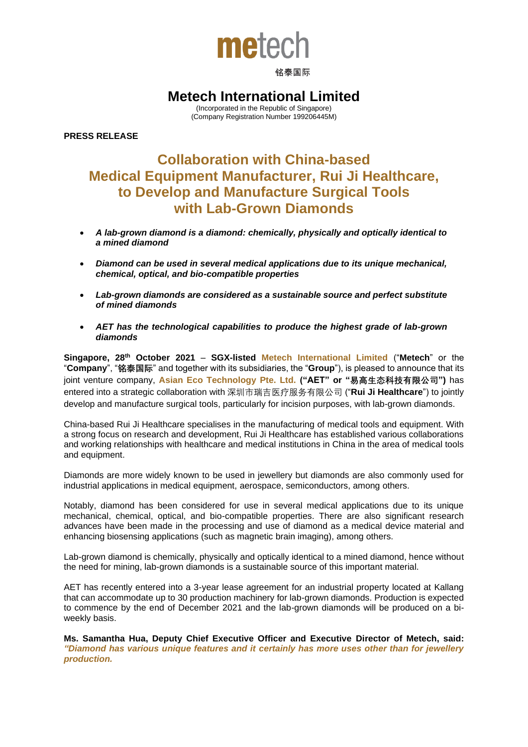

### 铭泰国际

## **Metech International Limited**

(Incorporated in the Republic of Singapore) (Company Registration Number 199206445M)

**PRESS RELEASE**

# **Collaboration with China-based Medical Equipment Manufacturer, Rui Ji Healthcare, to Develop and Manufacture Surgical Tools with Lab-Grown Diamonds**

- *A lab-grown diamond is a diamond: chemically, physically and optically identical to a mined diamond*
- *Diamond can be used in several medical applications due to its unique mechanical, chemical, optical, and bio-compatible properties*
- *Lab-grown diamonds are considered as a sustainable source and perfect substitute of mined diamonds*
- *AET has the technological capabilities to produce the highest grade of lab-grown diamonds*

**Singapore, 28th October 2021** – **SGX-listed Metech International Limited** ("**Metech**" or the "**Company**", "**铭泰国际**" and together with its subsidiaries, the "**Group**"), is pleased to announce that its joint venture company, **Asian Eco Technology Pte. Ltd. ("AET" or "易高生态科技有限公司")** has entered into a strategic collaboration with 深圳市瑞吉医疗服务有限公司 ("**Rui Ji Healthcare**") to jointly develop and manufacture surgical tools, particularly for incision purposes, with lab-grown diamonds.

China-based Rui Ji Healthcare specialises in the manufacturing of medical tools and equipment. With a strong focus on research and development, Rui Ji Healthcare has established various collaborations and working relationships with healthcare and medical institutions in China in the area of medical tools and equipment.

Diamonds are more widely known to be used in jewellery but diamonds are also commonly used for industrial applications in medical equipment, aerospace, semiconductors, among others.

Notably, diamond has been considered for use in several medical applications due to its unique mechanical, chemical, optical, and bio-compatible properties. There are also significant research advances have been made in the processing and use of diamond as a medical device material and enhancing biosensing applications (such as magnetic brain imaging), among others.

Lab-grown diamond is chemically, physically and optically identical to a mined diamond, hence without the need for mining, lab-grown diamonds is a sustainable source of this important material.

AET has recently entered into a 3-year lease agreement for an industrial property located at Kallang that can accommodate up to 30 production machinery for lab-grown diamonds. Production is expected to commence by the end of December 2021 and the lab-grown diamonds will be produced on a biweekly basis.

**Ms. Samantha Hua, Deputy Chief Executive Officer and Executive Director of Metech, said:**  *"Diamond has various unique features and it certainly has more uses other than for jewellery production.*